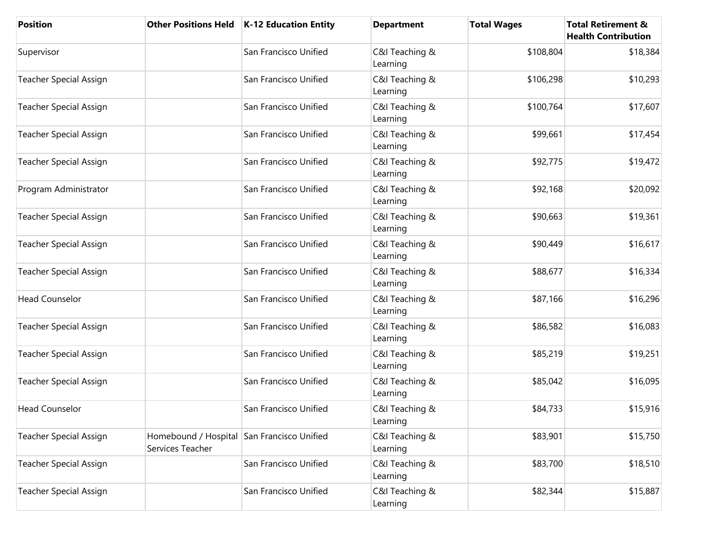| <b>Position</b>               | <b>Other Positions Held</b>                                    | <b>K-12 Education Entity</b> | <b>Department</b>          | <b>Total Wages</b> | <b>Total Retirement &amp;</b><br><b>Health Contribution</b> |
|-------------------------------|----------------------------------------------------------------|------------------------------|----------------------------|--------------------|-------------------------------------------------------------|
| Supervisor                    |                                                                | San Francisco Unified        | C&I Teaching &<br>Learning | \$108,804          | \$18,384                                                    |
| <b>Teacher Special Assign</b> |                                                                | San Francisco Unified        | C&I Teaching &<br>Learning | \$106,298          | \$10,293                                                    |
| <b>Teacher Special Assign</b> |                                                                | San Francisco Unified        | C&I Teaching &<br>Learning | \$100,764          | \$17,607                                                    |
| <b>Teacher Special Assign</b> |                                                                | San Francisco Unified        | C&I Teaching &<br>Learning | \$99,661           | \$17,454                                                    |
| <b>Teacher Special Assign</b> |                                                                | San Francisco Unified        | C&I Teaching &<br>Learning | \$92,775           | \$19,472                                                    |
| Program Administrator         |                                                                | San Francisco Unified        | C&I Teaching &<br>Learning | \$92,168           | \$20,092                                                    |
| <b>Teacher Special Assign</b> |                                                                | San Francisco Unified        | C&I Teaching &<br>Learning | \$90,663           | \$19,361                                                    |
| <b>Teacher Special Assign</b> |                                                                | San Francisco Unified        | C&I Teaching &<br>Learning | \$90,449           | \$16,617                                                    |
| <b>Teacher Special Assign</b> |                                                                | San Francisco Unified        | C&I Teaching &<br>Learning | \$88,677           | \$16,334                                                    |
| <b>Head Counselor</b>         |                                                                | San Francisco Unified        | C&I Teaching &<br>Learning | \$87,166           | \$16,296                                                    |
| <b>Teacher Special Assign</b> |                                                                | San Francisco Unified        | C&I Teaching &<br>Learning | \$86,582           | \$16,083                                                    |
| <b>Teacher Special Assign</b> |                                                                | San Francisco Unified        | C&I Teaching &<br>Learning | \$85,219           | \$19,251                                                    |
| <b>Teacher Special Assign</b> |                                                                | San Francisco Unified        | C&I Teaching &<br>Learning | \$85,042           | \$16,095                                                    |
| <b>Head Counselor</b>         |                                                                | San Francisco Unified        | C&I Teaching &<br>Learning | \$84,733           | \$15,916                                                    |
| <b>Teacher Special Assign</b> | Homebound / Hospital San Francisco Unified<br>Services Teacher |                              | C&I Teaching &<br>Learning | \$83,901           | \$15,750                                                    |
| <b>Teacher Special Assign</b> |                                                                | San Francisco Unified        | C&I Teaching &<br>Learning | \$83,700           | \$18,510                                                    |
| <b>Teacher Special Assign</b> |                                                                | San Francisco Unified        | C&I Teaching &<br>Learning | \$82,344           | \$15,887                                                    |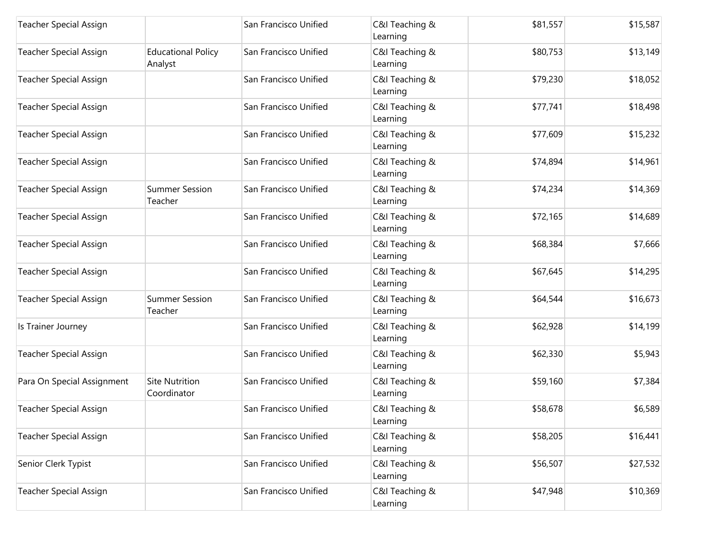| <b>Teacher Special Assign</b> |                                      | San Francisco Unified | C&I Teaching &<br>Learning | \$81,557 | \$15,587 |
|-------------------------------|--------------------------------------|-----------------------|----------------------------|----------|----------|
| <b>Teacher Special Assign</b> | <b>Educational Policy</b><br>Analyst | San Francisco Unified | C&I Teaching &<br>Learning | \$80,753 | \$13,149 |
| <b>Teacher Special Assign</b> |                                      | San Francisco Unified | C&I Teaching &<br>Learning | \$79,230 | \$18,052 |
| <b>Teacher Special Assign</b> |                                      | San Francisco Unified | C&I Teaching &<br>Learning | \$77,741 | \$18,498 |
| <b>Teacher Special Assign</b> |                                      | San Francisco Unified | C&I Teaching &<br>Learning | \$77,609 | \$15,232 |
| <b>Teacher Special Assign</b> |                                      | San Francisco Unified | C&I Teaching &<br>Learning | \$74,894 | \$14,961 |
| <b>Teacher Special Assign</b> | <b>Summer Session</b><br>Teacher     | San Francisco Unified | C&I Teaching &<br>Learning | \$74,234 | \$14,369 |
| <b>Teacher Special Assign</b> |                                      | San Francisco Unified | C&I Teaching &<br>Learning | \$72,165 | \$14,689 |
| <b>Teacher Special Assign</b> |                                      | San Francisco Unified | C&I Teaching &<br>Learning | \$68,384 | \$7,666  |
| <b>Teacher Special Assign</b> |                                      | San Francisco Unified | C&I Teaching &<br>Learning | \$67,645 | \$14,295 |
| <b>Teacher Special Assign</b> | <b>Summer Session</b><br>Teacher     | San Francisco Unified | C&I Teaching &<br>Learning | \$64,544 | \$16,673 |
| Is Trainer Journey            |                                      | San Francisco Unified | C&I Teaching &<br>Learning | \$62,928 | \$14,199 |
| <b>Teacher Special Assign</b> |                                      | San Francisco Unified | C&I Teaching &<br>Learning | \$62,330 | \$5,943  |
| Para On Special Assignment    | <b>Site Nutrition</b><br>Coordinator | San Francisco Unified | C&I Teaching &<br>Learning | \$59,160 | \$7,384  |
| <b>Teacher Special Assign</b> |                                      | San Francisco Unified | C&I Teaching &<br>Learning | \$58,678 | \$6,589  |
| <b>Teacher Special Assign</b> |                                      | San Francisco Unified | C&I Teaching &<br>Learning | \$58,205 | \$16,441 |
| Senior Clerk Typist           |                                      | San Francisco Unified | C&I Teaching &<br>Learning | \$56,507 | \$27,532 |
| <b>Teacher Special Assign</b> |                                      | San Francisco Unified | C&I Teaching &<br>Learning | \$47,948 | \$10,369 |